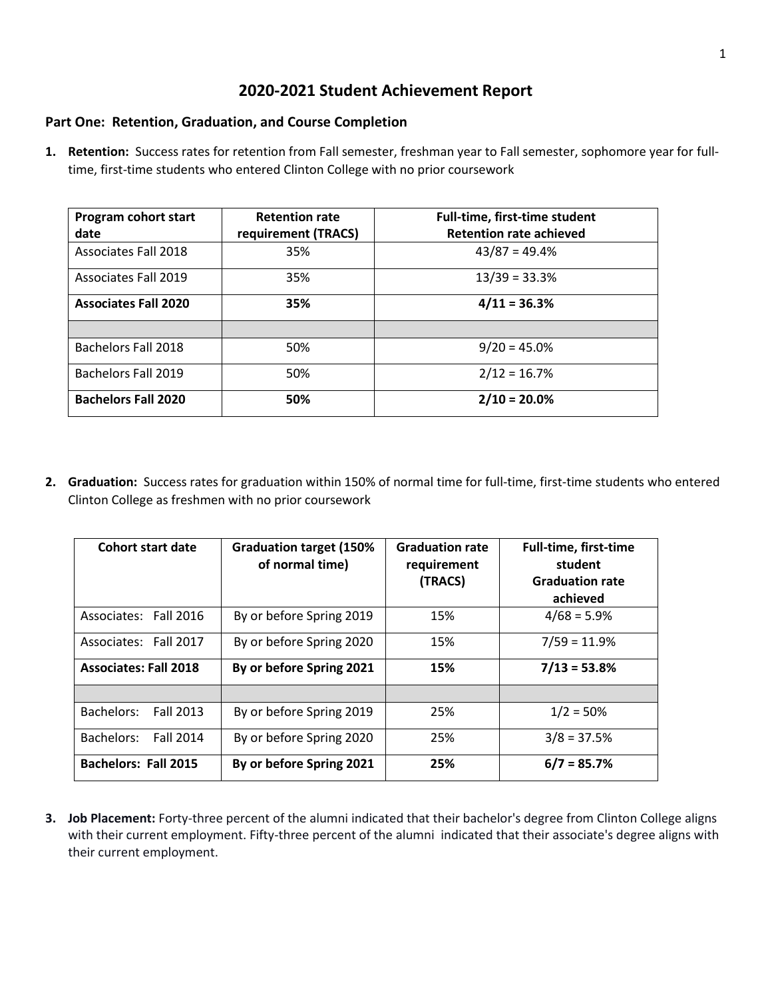#### **2020-2021 Student Achievement Report**

#### **Part One: Retention, Graduation, and Course Completion**

**1. Retention:** Success rates for retention from Fall semester, freshman year to Fall semester, sophomore year for fulltime, first-time students who entered Clinton College with no prior coursework

| Program cohort start<br>date | <b>Retention rate</b><br>requirement (TRACS) | Full-time, first-time student<br><b>Retention rate achieved</b> |
|------------------------------|----------------------------------------------|-----------------------------------------------------------------|
| Associates Fall 2018         | 35%                                          | $43/87 = 49.4%$                                                 |
| Associates Fall 2019         | 35%                                          | $13/39 = 33.3%$                                                 |
| <b>Associates Fall 2020</b>  | 35%                                          | $4/11 = 36.3%$                                                  |
|                              |                                              |                                                                 |
| <b>Bachelors Fall 2018</b>   | 50%                                          | $9/20 = 45.0\%$                                                 |
| <b>Bachelors Fall 2019</b>   | 50%                                          | $2/12 = 16.7%$                                                  |
| <b>Bachelors Fall 2020</b>   | 50%                                          | $2/10 = 20.0\%$                                                 |

**2. Graduation:** Success rates for graduation within 150% of normal time for full-time, first-time students who entered Clinton College as freshmen with no prior coursework

| <b>Cohort start date</b>       | <b>Graduation target (150%</b><br>of normal time) | <b>Graduation rate</b><br>requirement<br>(TRACS) | <b>Full-time, first-time</b><br>student<br><b>Graduation rate</b><br>achieved |
|--------------------------------|---------------------------------------------------|--------------------------------------------------|-------------------------------------------------------------------------------|
| Associates: Fall 2016          | By or before Spring 2019                          | 15%                                              | $4/68 = 5.9\%$                                                                |
| Associates: Fall 2017          | By or before Spring 2020                          | 15%                                              | $7/59 = 11.9%$                                                                |
| <b>Associates: Fall 2018</b>   | By or before Spring 2021                          | 15%                                              | $7/13 = 53.8%$                                                                |
|                                |                                                   |                                                  |                                                                               |
| Bachelors:<br>Fall 2013        | By or before Spring 2019                          | 25%                                              | $1/2 = 50%$                                                                   |
| Bachelors:<br><b>Fall 2014</b> | By or before Spring 2020                          | 25%                                              | $3/8 = 37.5%$                                                                 |
| <b>Bachelors: Fall 2015</b>    | By or before Spring 2021                          | 25%                                              | $6/7 = 85.7%$                                                                 |

**3. Job Placement:** Forty-three percent of the alumni indicated that their bachelor's degree from Clinton College aligns with their current employment. Fifty-three percent of the alumni indicated that their associate's degree aligns with their current employment.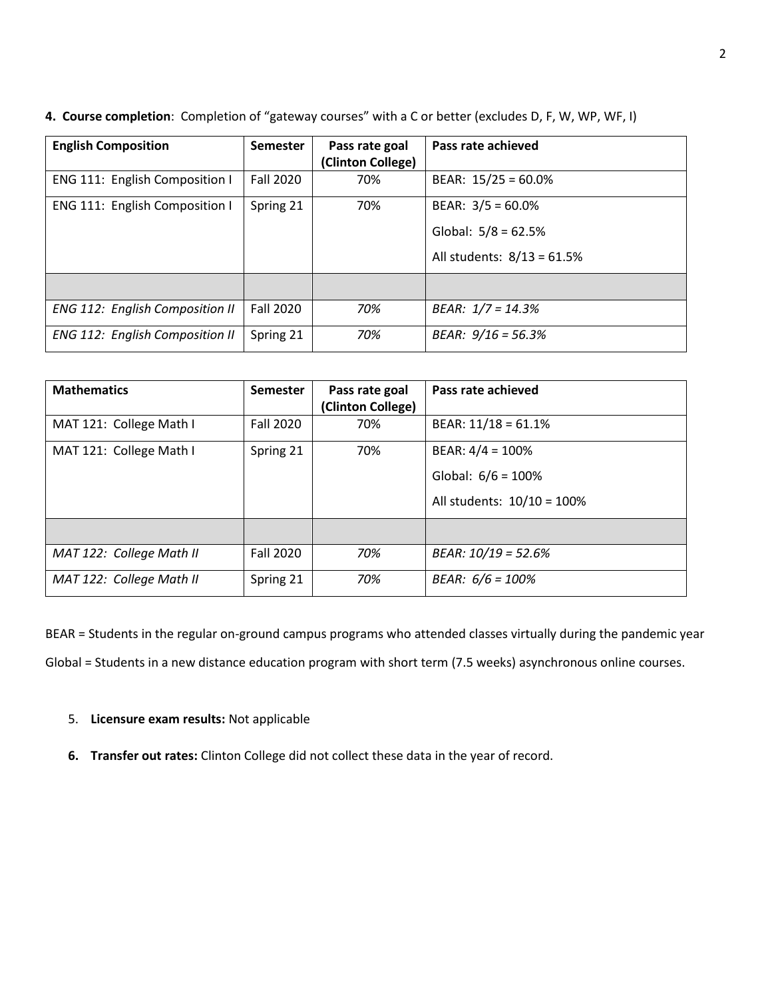| <b>English Composition</b>             | <b>Semester</b>  | Pass rate goal<br>(Clinton College) | Pass rate achieved                                                          |
|----------------------------------------|------------------|-------------------------------------|-----------------------------------------------------------------------------|
| ENG 111: English Composition I         | <b>Fall 2020</b> | 70%                                 | BEAR: $15/25 = 60.0\%$                                                      |
| ENG 111: English Composition I         | Spring 21        | 70%                                 | BEAR: $3/5 = 60.0\%$<br>Global: $5/8 = 62.5%$<br>All students: 8/13 = 61.5% |
|                                        |                  |                                     |                                                                             |
| <b>ENG 112: English Composition II</b> | Fall 2020        | 70%                                 | BEAR: $1/7 = 14.3%$                                                         |
| <b>ENG 112: English Composition II</b> | Spring 21        | 70%                                 | BEAR: $9/16 = 56.3%$                                                        |

**4. Course completion**: Completion of "gateway courses" with a C or better (excludes D, F, W, WP, WF, I)

| <b>Mathematics</b>       | <b>Semester</b>  | Pass rate goal<br>(Clinton College) | Pass rate achieved         |
|--------------------------|------------------|-------------------------------------|----------------------------|
| MAT 121: College Math I  | Fall 2020        | 70%                                 | BEAR: $11/18 = 61.1%$      |
| MAT 121: College Math I  | Spring 21        | 70%                                 | BEAR: $4/4 = 100\%$        |
|                          |                  |                                     | Global: $6/6 = 100\%$      |
|                          |                  |                                     | All students: 10/10 = 100% |
|                          |                  |                                     |                            |
| MAT 122: College Math II | <b>Fall 2020</b> | 70%                                 | $BEAR: 10/19 = 52.6%$      |
| MAT 122: College Math II | Spring 21        | 70%                                 | BEAR: $6/6 = 100%$         |

BEAR = Students in the regular on-ground campus programs who attended classes virtually during the pandemic year Global = Students in a new distance education program with short term (7.5 weeks) asynchronous online courses.

- 5. **Licensure exam results:** Not applicable
- **6. Transfer out rates:** Clinton College did not collect these data in the year of record.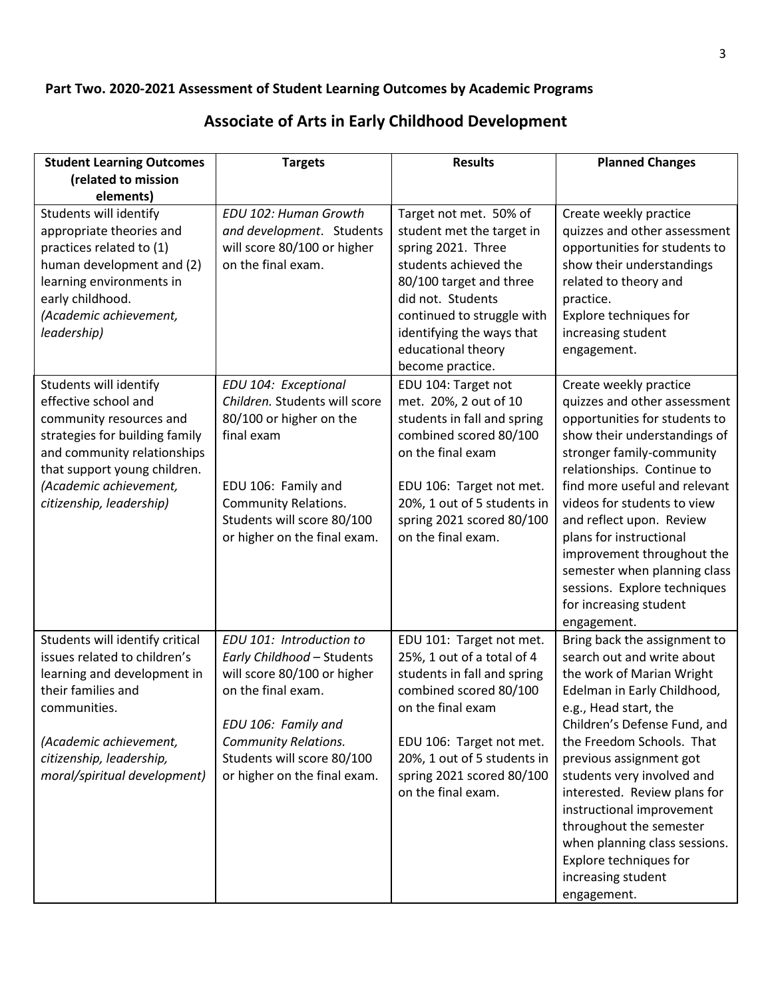### **Part Two. 2020-2021 Assessment of Student Learning Outcomes by Academic Programs**

## **Associate of Arts in Early Childhood Development**

| <b>Student Learning Outcomes</b>                                                                                                                                                                                                 | <b>Targets</b>                                                                                                                                                                                                                  | <b>Results</b>                                                                                                                                                                                                                                          | <b>Planned Changes</b>                                                                                                                                                                                                                                                                                                                                                                                                                                        |
|----------------------------------------------------------------------------------------------------------------------------------------------------------------------------------------------------------------------------------|---------------------------------------------------------------------------------------------------------------------------------------------------------------------------------------------------------------------------------|---------------------------------------------------------------------------------------------------------------------------------------------------------------------------------------------------------------------------------------------------------|---------------------------------------------------------------------------------------------------------------------------------------------------------------------------------------------------------------------------------------------------------------------------------------------------------------------------------------------------------------------------------------------------------------------------------------------------------------|
| (related to mission<br>elements)                                                                                                                                                                                                 |                                                                                                                                                                                                                                 |                                                                                                                                                                                                                                                         |                                                                                                                                                                                                                                                                                                                                                                                                                                                               |
| Students will identify<br>appropriate theories and<br>practices related to (1)<br>human development and (2)<br>learning environments in<br>early childhood.<br>(Academic achievement,<br>leadership)                             | EDU 102: Human Growth<br>and development. Students<br>will score 80/100 or higher<br>on the final exam.                                                                                                                         | Target not met. 50% of<br>student met the target in<br>spring 2021. Three<br>students achieved the<br>80/100 target and three<br>did not. Students<br>continued to struggle with<br>identifying the ways that<br>educational theory<br>become practice. | Create weekly practice<br>quizzes and other assessment<br>opportunities for students to<br>show their understandings<br>related to theory and<br>practice.<br>Explore techniques for<br>increasing student<br>engagement.                                                                                                                                                                                                                                     |
| Students will identify<br>effective school and<br>community resources and<br>strategies for building family<br>and community relationships<br>that support young children.<br>(Academic achievement,<br>citizenship, leadership) | EDU 104: Exceptional<br>Children. Students will score<br>80/100 or higher on the<br>final exam<br>EDU 106: Family and<br><b>Community Relations.</b><br>Students will score 80/100<br>or higher on the final exam.              | EDU 104: Target not<br>met. 20%, 2 out of 10<br>students in fall and spring<br>combined scored 80/100<br>on the final exam<br>EDU 106: Target not met.<br>20%, 1 out of 5 students in<br>spring 2021 scored 80/100<br>on the final exam.                | Create weekly practice<br>quizzes and other assessment<br>opportunities for students to<br>show their understandings of<br>stronger family-community<br>relationships. Continue to<br>find more useful and relevant<br>videos for students to view<br>and reflect upon. Review<br>plans for instructional<br>improvement throughout the<br>semester when planning class<br>sessions. Explore techniques<br>for increasing student<br>engagement.              |
| Students will identify critical<br>issues related to children's<br>learning and development in<br>their families and<br>communities.<br>(Academic achievement,<br>citizenship, leadership,<br>moral/spiritual development)       | EDU 101: Introduction to<br>Early Childhood - Students<br>will score 80/100 or higher<br>on the final exam.<br>EDU 106: Family and<br><b>Community Relations.</b><br>Students will score 80/100<br>or higher on the final exam. | EDU 101: Target not met.<br>25%, 1 out of a total of 4<br>students in fall and spring<br>combined scored 80/100<br>on the final exam<br>EDU 106: Target not met.<br>20%, 1 out of 5 students in<br>spring 2021 scored 80/100<br>on the final exam.      | Bring back the assignment to<br>search out and write about<br>the work of Marian Wright<br>Edelman in Early Childhood,<br>e.g., Head start, the<br>Children's Defense Fund, and<br>the Freedom Schools. That<br>previous assignment got<br>students very involved and<br>interested. Review plans for<br>instructional improvement<br>throughout the semester<br>when planning class sessions.<br>Explore techniques for<br>increasing student<br>engagement. |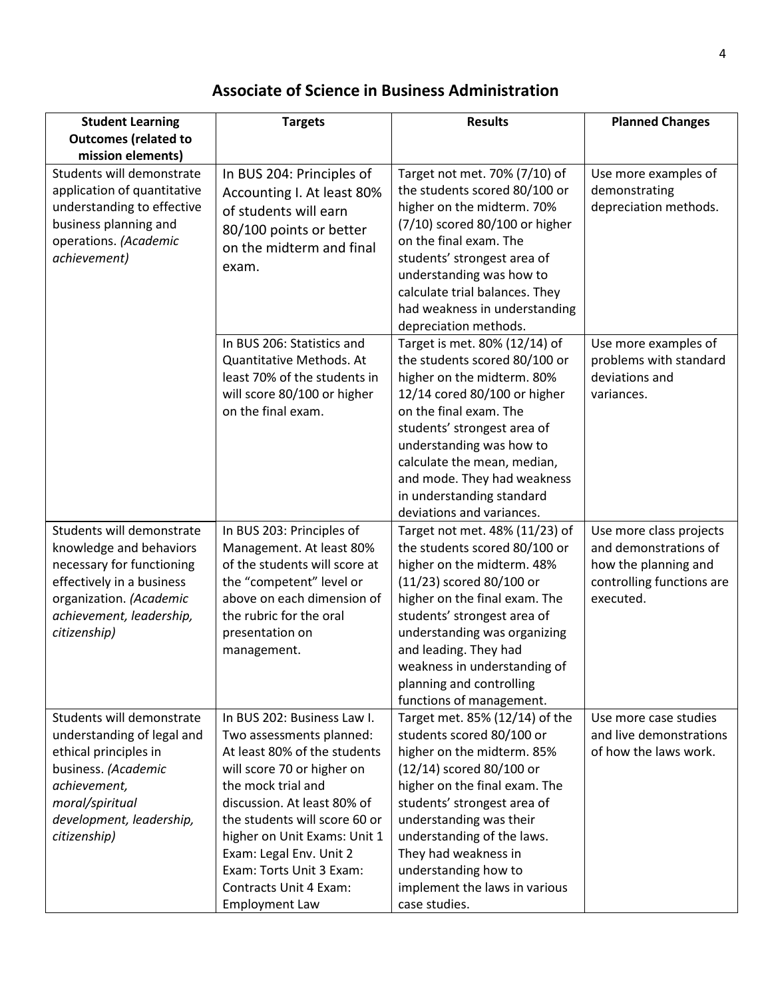## **Associate of Science in Business Administration**

| <b>Student Learning</b>                                                                                                                                                                | <b>Targets</b>                                                                                                                                                                                                                                                                                                                                               | <b>Results</b>                                                                                                                                                                                                                                                                                                                                   | <b>Planned Changes</b>                                                                                             |
|----------------------------------------------------------------------------------------------------------------------------------------------------------------------------------------|--------------------------------------------------------------------------------------------------------------------------------------------------------------------------------------------------------------------------------------------------------------------------------------------------------------------------------------------------------------|--------------------------------------------------------------------------------------------------------------------------------------------------------------------------------------------------------------------------------------------------------------------------------------------------------------------------------------------------|--------------------------------------------------------------------------------------------------------------------|
| <b>Outcomes (related to</b><br>mission elements)                                                                                                                                       |                                                                                                                                                                                                                                                                                                                                                              |                                                                                                                                                                                                                                                                                                                                                  |                                                                                                                    |
| Students will demonstrate<br>application of quantitative<br>understanding to effective<br>business planning and<br>operations. (Academic<br>achievement)                               | In BUS 204: Principles of<br>Accounting I. At least 80%<br>of students will earn<br>80/100 points or better<br>on the midterm and final<br>exam.                                                                                                                                                                                                             | Target not met. 70% (7/10) of<br>the students scored 80/100 or<br>higher on the midterm. 70%<br>(7/10) scored 80/100 or higher<br>on the final exam. The<br>students' strongest area of<br>understanding was how to<br>calculate trial balances. They<br>had weakness in understanding<br>depreciation methods.                                  | Use more examples of<br>demonstrating<br>depreciation methods.                                                     |
|                                                                                                                                                                                        | In BUS 206: Statistics and<br>Quantitative Methods. At<br>least 70% of the students in<br>will score 80/100 or higher<br>on the final exam.                                                                                                                                                                                                                  | Target is met. 80% (12/14) of<br>the students scored 80/100 or<br>higher on the midterm. 80%<br>12/14 cored 80/100 or higher<br>on the final exam. The<br>students' strongest area of<br>understanding was how to<br>calculate the mean, median,<br>and mode. They had weakness<br>in understanding standard<br>deviations and variances.        | Use more examples of<br>problems with standard<br>deviations and<br>variances.                                     |
| Students will demonstrate<br>knowledge and behaviors<br>necessary for functioning<br>effectively in a business<br>organization. (Academic<br>achievement, leadership,<br>citizenship)  | In BUS 203: Principles of<br>Management. At least 80%<br>of the students will score at<br>the "competent" level or<br>above on each dimension of<br>the rubric for the oral<br>presentation on<br>management.                                                                                                                                                | Target not met. 48% (11/23) of<br>the students scored 80/100 or<br>higher on the midterm. 48%<br>(11/23) scored 80/100 or<br>higher on the final exam. The<br>students' strongest area of<br>understanding was organizing<br>and leading. They had<br>weakness in understanding of<br>planning and controlling<br>functions of management.       | Use more class projects<br>and demonstrations of<br>how the planning and<br>controlling functions are<br>executed. |
| Students will demonstrate<br>understanding of legal and<br>ethical principles in<br>business. (Academic<br>achievement,<br>moral/spiritual<br>development, leadership,<br>citizenship) | In BUS 202: Business Law I.<br>Two assessments planned:<br>At least 80% of the students<br>will score 70 or higher on<br>the mock trial and<br>discussion. At least 80% of<br>the students will score 60 or<br>higher on Unit Exams: Unit 1<br>Exam: Legal Env. Unit 2<br>Exam: Torts Unit 3 Exam:<br><b>Contracts Unit 4 Exam:</b><br><b>Employment Law</b> | Target met. 85% (12/14) of the<br>students scored 80/100 or<br>higher on the midterm. 85%<br>(12/14) scored 80/100 or<br>higher on the final exam. The<br>students' strongest area of<br>understanding was their<br>understanding of the laws.<br>They had weakness in<br>understanding how to<br>implement the laws in various<br>case studies. | Use more case studies<br>and live demonstrations<br>of how the laws work.                                          |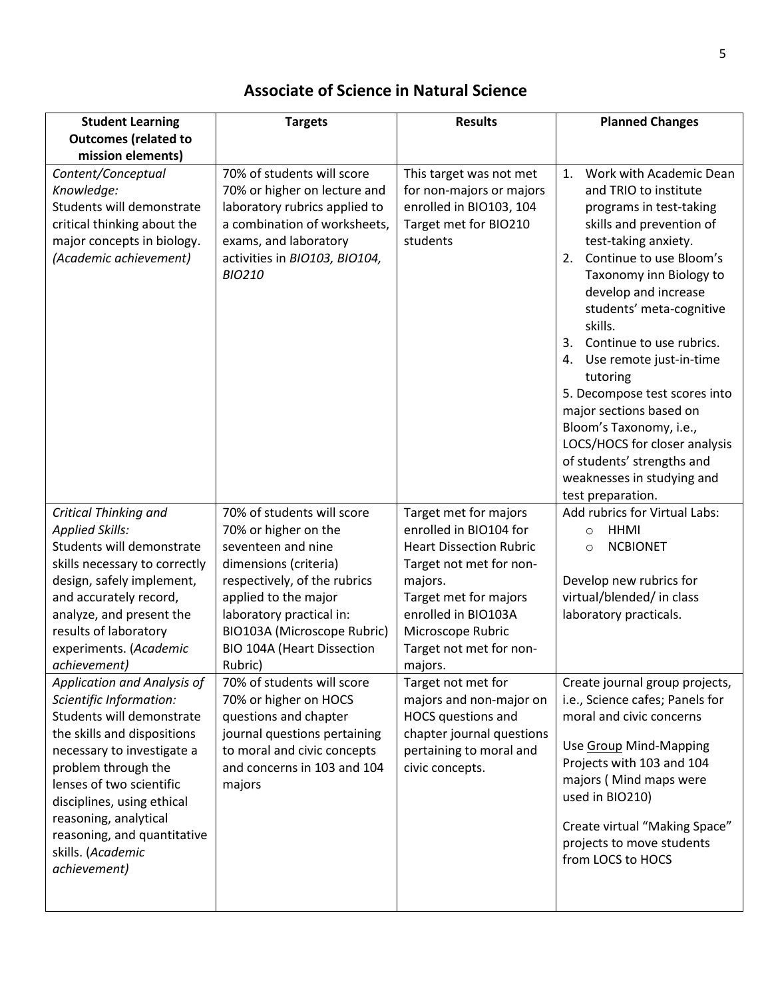| <b>Student Learning</b>                                                                                                                                                                                                                                                                                                                                                                                                                                                                                                                  | <b>Targets</b>                                                                                                                                                                                                                                                                                                                                                                                                                                               | <b>Results</b>                                                                                                                                                                                                                                                                                                                                                                       | <b>Planned Changes</b>                                                                                                                                                                                                                                                                                                                                                                                                                                                                                                                                |
|------------------------------------------------------------------------------------------------------------------------------------------------------------------------------------------------------------------------------------------------------------------------------------------------------------------------------------------------------------------------------------------------------------------------------------------------------------------------------------------------------------------------------------------|--------------------------------------------------------------------------------------------------------------------------------------------------------------------------------------------------------------------------------------------------------------------------------------------------------------------------------------------------------------------------------------------------------------------------------------------------------------|--------------------------------------------------------------------------------------------------------------------------------------------------------------------------------------------------------------------------------------------------------------------------------------------------------------------------------------------------------------------------------------|-------------------------------------------------------------------------------------------------------------------------------------------------------------------------------------------------------------------------------------------------------------------------------------------------------------------------------------------------------------------------------------------------------------------------------------------------------------------------------------------------------------------------------------------------------|
| <b>Outcomes (related to</b>                                                                                                                                                                                                                                                                                                                                                                                                                                                                                                              |                                                                                                                                                                                                                                                                                                                                                                                                                                                              |                                                                                                                                                                                                                                                                                                                                                                                      |                                                                                                                                                                                                                                                                                                                                                                                                                                                                                                                                                       |
| mission elements)<br>Content/Conceptual<br>Knowledge:<br>Students will demonstrate<br>critical thinking about the<br>major concepts in biology.<br>(Academic achievement)                                                                                                                                                                                                                                                                                                                                                                | 70% of students will score<br>70% or higher on lecture and<br>laboratory rubrics applied to<br>a combination of worksheets,<br>exams, and laboratory<br>activities in BIO103, BIO104,<br><b>BIO210</b>                                                                                                                                                                                                                                                       | This target was not met<br>for non-majors or majors<br>enrolled in BIO103, 104<br>Target met for BIO210<br>students                                                                                                                                                                                                                                                                  | Work with Academic Dean<br>1.<br>and TRIO to institute<br>programs in test-taking<br>skills and prevention of<br>test-taking anxiety.<br>Continue to use Bloom's<br>2.<br>Taxonomy inn Biology to<br>develop and increase<br>students' meta-cognitive<br>skills.<br>Continue to use rubrics.<br>3.<br>4. Use remote just-in-time<br>tutoring<br>5. Decompose test scores into<br>major sections based on<br>Bloom's Taxonomy, i.e.,<br>LOCS/HOCS for closer analysis<br>of students' strengths and<br>weaknesses in studying and<br>test preparation. |
| <b>Critical Thinking and</b><br><b>Applied Skills:</b><br>Students will demonstrate<br>skills necessary to correctly<br>design, safely implement,<br>and accurately record,<br>analyze, and present the<br>results of laboratory<br>experiments. (Academic<br>achievement)<br>Application and Analysis of<br>Scientific Information:<br>Students will demonstrate<br>the skills and dispositions<br>necessary to investigate a<br>problem through the<br>lenses of two scientific<br>disciplines, using ethical<br>reasoning, analytical | 70% of students will score<br>70% or higher on the<br>seventeen and nine<br>dimensions (criteria)<br>respectively, of the rubrics<br>applied to the major<br>laboratory practical in:<br>BIO103A (Microscope Rubric)<br><b>BIO 104A (Heart Dissection</b><br>Rubric)<br>70% of students will score<br>70% or higher on HOCS<br>questions and chapter<br>journal questions pertaining<br>to moral and civic concepts<br>and concerns in 103 and 104<br>majors | Target met for majors<br>enrolled in BIO104 for<br><b>Heart Dissection Rubric</b><br>Target not met for non-<br>majors.<br>Target met for majors<br>enrolled in BIO103A<br>Microscope Rubric<br>Target not met for non-<br>majors.<br>Target not met for<br>majors and non-major on<br>HOCS questions and<br>chapter journal questions<br>pertaining to moral and<br>civic concepts. | Add rubrics for Virtual Labs:<br><b>HHMI</b><br>$\circ$<br><b>NCBIONET</b><br>$\circ$<br>Develop new rubrics for<br>virtual/blended/ in class<br>laboratory practicals.<br>Create journal group projects,<br>i.e., Science cafes; Panels for<br>moral and civic concerns<br>Use Group Mind-Mapping<br>Projects with 103 and 104<br>majors (Mind maps were<br>used in BIO210)                                                                                                                                                                          |
| reasoning, and quantitative<br>skills. (Academic<br>achievement)                                                                                                                                                                                                                                                                                                                                                                                                                                                                         |                                                                                                                                                                                                                                                                                                                                                                                                                                                              |                                                                                                                                                                                                                                                                                                                                                                                      | Create virtual "Making Space"<br>projects to move students<br>from LOCS to HOCS                                                                                                                                                                                                                                                                                                                                                                                                                                                                       |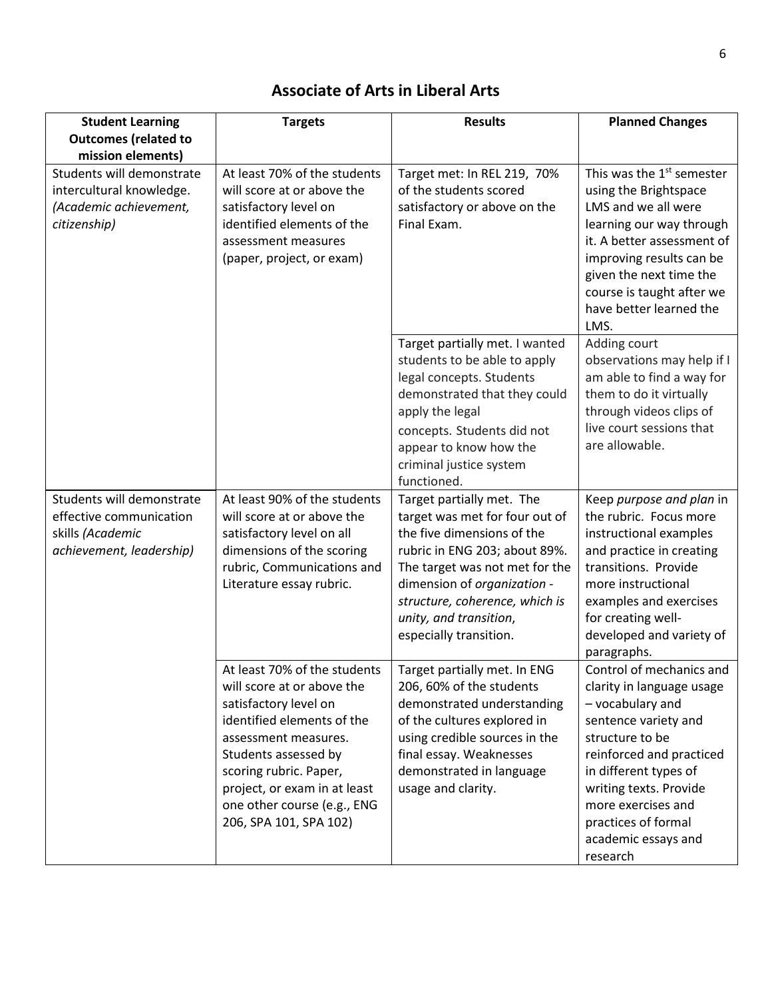## **Associate of Arts in Liberal Arts**

| <b>Student Learning</b>                                                                                                                                                                                                                                                  | <b>Targets</b>                                                                                                                                                                                                                                                                       | <b>Results</b>                                                                                                                                                                                                                                                         | <b>Planned Changes</b>                                                                                                                                                                                                                                                              |
|--------------------------------------------------------------------------------------------------------------------------------------------------------------------------------------------------------------------------------------------------------------------------|--------------------------------------------------------------------------------------------------------------------------------------------------------------------------------------------------------------------------------------------------------------------------------------|------------------------------------------------------------------------------------------------------------------------------------------------------------------------------------------------------------------------------------------------------------------------|-------------------------------------------------------------------------------------------------------------------------------------------------------------------------------------------------------------------------------------------------------------------------------------|
| <b>Outcomes (related to</b>                                                                                                                                                                                                                                              |                                                                                                                                                                                                                                                                                      |                                                                                                                                                                                                                                                                        |                                                                                                                                                                                                                                                                                     |
| mission elements)                                                                                                                                                                                                                                                        |                                                                                                                                                                                                                                                                                      |                                                                                                                                                                                                                                                                        |                                                                                                                                                                                                                                                                                     |
| At least 70% of the students<br>Students will demonstrate<br>intercultural knowledge.<br>will score at or above the<br>(Academic achievement,<br>satisfactory level on<br>identified elements of the<br>citizenship)<br>assessment measures<br>(paper, project, or exam) | Target met: In REL 219, 70%<br>of the students scored<br>satisfactory or above on the<br>Final Exam.                                                                                                                                                                                 | This was the 1 <sup>st</sup> semester<br>using the Brightspace<br>LMS and we all were<br>learning our way through<br>it. A better assessment of<br>improving results can be<br>given the next time the<br>course is taught after we<br>have better learned the<br>LMS. |                                                                                                                                                                                                                                                                                     |
|                                                                                                                                                                                                                                                                          |                                                                                                                                                                                                                                                                                      | Target partially met. I wanted<br>students to be able to apply<br>legal concepts. Students<br>demonstrated that they could<br>apply the legal<br>concepts. Students did not<br>appear to know how the<br>criminal justice system<br>functioned.                        | Adding court<br>observations may help if I<br>am able to find a way for<br>them to do it virtually<br>through videos clips of<br>live court sessions that<br>are allowable.                                                                                                         |
| Students will demonstrate                                                                                                                                                                                                                                                | At least 90% of the students                                                                                                                                                                                                                                                         | Target partially met. The                                                                                                                                                                                                                                              | Keep purpose and plan in                                                                                                                                                                                                                                                            |
| effective communication                                                                                                                                                                                                                                                  | will score at or above the                                                                                                                                                                                                                                                           | target was met for four out of                                                                                                                                                                                                                                         | the rubric. Focus more                                                                                                                                                                                                                                                              |
| skills (Academic                                                                                                                                                                                                                                                         | satisfactory level on all                                                                                                                                                                                                                                                            | the five dimensions of the                                                                                                                                                                                                                                             | instructional examples                                                                                                                                                                                                                                                              |
| achievement, leadership)                                                                                                                                                                                                                                                 | dimensions of the scoring                                                                                                                                                                                                                                                            | rubric in ENG 203; about 89%.                                                                                                                                                                                                                                          | and practice in creating                                                                                                                                                                                                                                                            |
|                                                                                                                                                                                                                                                                          | rubric, Communications and                                                                                                                                                                                                                                                           | The target was not met for the                                                                                                                                                                                                                                         | transitions. Provide                                                                                                                                                                                                                                                                |
|                                                                                                                                                                                                                                                                          | Literature essay rubric.                                                                                                                                                                                                                                                             | dimension of organization -                                                                                                                                                                                                                                            | more instructional                                                                                                                                                                                                                                                                  |
|                                                                                                                                                                                                                                                                          |                                                                                                                                                                                                                                                                                      | structure, coherence, which is                                                                                                                                                                                                                                         | examples and exercises                                                                                                                                                                                                                                                              |
|                                                                                                                                                                                                                                                                          |                                                                                                                                                                                                                                                                                      | unity, and transition,                                                                                                                                                                                                                                                 | for creating well-                                                                                                                                                                                                                                                                  |
|                                                                                                                                                                                                                                                                          |                                                                                                                                                                                                                                                                                      | especially transition.                                                                                                                                                                                                                                                 | developed and variety of<br>paragraphs.                                                                                                                                                                                                                                             |
|                                                                                                                                                                                                                                                                          | At least 70% of the students<br>will score at or above the<br>satisfactory level on<br>identified elements of the<br>assessment measures.<br>Students assessed by<br>scoring rubric. Paper,<br>project, or exam in at least<br>one other course (e.g., ENG<br>206, SPA 101, SPA 102) | Target partially met. In ENG<br>206, 60% of the students<br>demonstrated understanding<br>of the cultures explored in<br>using credible sources in the<br>final essay. Weaknesses<br>demonstrated in language<br>usage and clarity.                                    | Control of mechanics and<br>clarity in language usage<br>- vocabulary and<br>sentence variety and<br>structure to be<br>reinforced and practiced<br>in different types of<br>writing texts. Provide<br>more exercises and<br>practices of formal<br>academic essays and<br>research |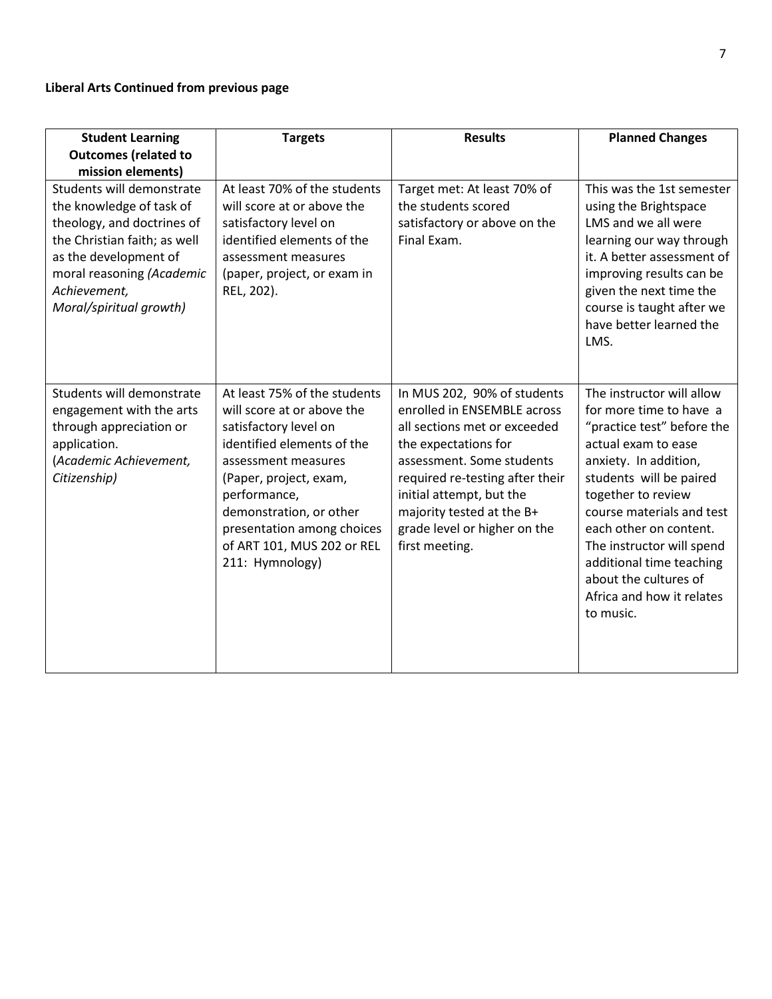#### **Liberal Arts Continued from previous page**

| <b>Student Learning</b>                                                                                                                                                                                              | <b>Targets</b>                                                                                                                                                                                                                                                                               | <b>Results</b>                                                                                                                                                                                                                                                                                | <b>Planned Changes</b>                                                                                                                                                                                                                                                                                                                                                 |
|----------------------------------------------------------------------------------------------------------------------------------------------------------------------------------------------------------------------|----------------------------------------------------------------------------------------------------------------------------------------------------------------------------------------------------------------------------------------------------------------------------------------------|-----------------------------------------------------------------------------------------------------------------------------------------------------------------------------------------------------------------------------------------------------------------------------------------------|------------------------------------------------------------------------------------------------------------------------------------------------------------------------------------------------------------------------------------------------------------------------------------------------------------------------------------------------------------------------|
| <b>Outcomes (related to</b>                                                                                                                                                                                          |                                                                                                                                                                                                                                                                                              |                                                                                                                                                                                                                                                                                               |                                                                                                                                                                                                                                                                                                                                                                        |
| mission elements)                                                                                                                                                                                                    |                                                                                                                                                                                                                                                                                              |                                                                                                                                                                                                                                                                                               |                                                                                                                                                                                                                                                                                                                                                                        |
| Students will demonstrate<br>the knowledge of task of<br>theology, and doctrines of<br>the Christian faith; as well<br>as the development of<br>moral reasoning (Academic<br>Achievement,<br>Moral/spiritual growth) | At least 70% of the students<br>will score at or above the<br>satisfactory level on<br>identified elements of the<br>assessment measures<br>(paper, project, or exam in<br>REL, 202).                                                                                                        | Target met: At least 70% of<br>the students scored<br>satisfactory or above on the<br>Final Exam.                                                                                                                                                                                             | This was the 1st semester<br>using the Brightspace<br>LMS and we all were<br>learning our way through<br>it. A better assessment of<br>improving results can be<br>given the next time the<br>course is taught after we<br>have better learned the<br>LMS.                                                                                                             |
| Students will demonstrate<br>engagement with the arts<br>through appreciation or<br>application.<br>(Academic Achievement,<br>Citizenship)                                                                           | At least 75% of the students<br>will score at or above the<br>satisfactory level on<br>identified elements of the<br>assessment measures<br>(Paper, project, exam,<br>performance,<br>demonstration, or other<br>presentation among choices<br>of ART 101, MUS 202 or REL<br>211: Hymnology) | In MUS 202, 90% of students<br>enrolled in ENSEMBLE across<br>all sections met or exceeded<br>the expectations for<br>assessment. Some students<br>required re-testing after their<br>initial attempt, but the<br>majority tested at the B+<br>grade level or higher on the<br>first meeting. | The instructor will allow<br>for more time to have a<br>"practice test" before the<br>actual exam to ease<br>anxiety. In addition,<br>students will be paired<br>together to review<br>course materials and test<br>each other on content.<br>The instructor will spend<br>additional time teaching<br>about the cultures of<br>Africa and how it relates<br>to music. |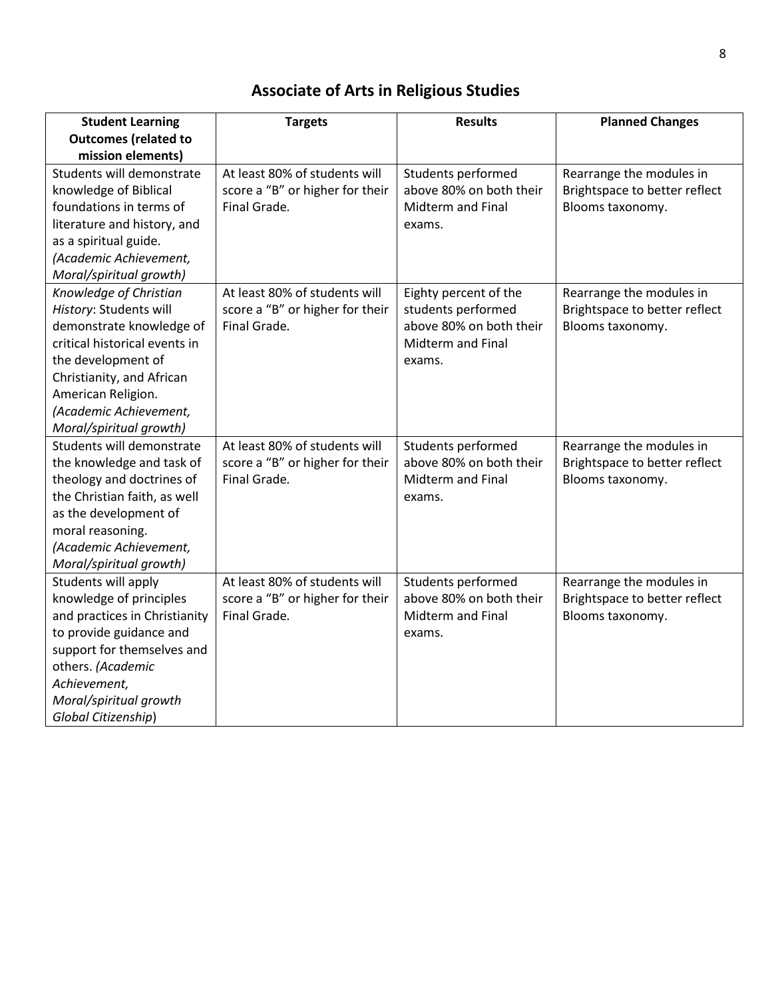# **Associate of Arts in Religious Studies**

| <b>Student Learning</b>       | <b>Targets</b>                  | <b>Results</b>           | <b>Planned Changes</b>        |
|-------------------------------|---------------------------------|--------------------------|-------------------------------|
| <b>Outcomes (related to</b>   |                                 |                          |                               |
| mission elements)             |                                 |                          |                               |
| Students will demonstrate     | At least 80% of students will   | Students performed       | Rearrange the modules in      |
| knowledge of Biblical         | score a "B" or higher for their | above 80% on both their  | Brightspace to better reflect |
| foundations in terms of       | Final Grade.                    | Midterm and Final        | Blooms taxonomy.              |
| literature and history, and   |                                 | exams.                   |                               |
| as a spiritual guide.         |                                 |                          |                               |
| (Academic Achievement,        |                                 |                          |                               |
| Moral/spiritual growth)       |                                 |                          |                               |
| Knowledge of Christian        | At least 80% of students will   | Eighty percent of the    | Rearrange the modules in      |
| History: Students will        | score a "B" or higher for their | students performed       | Brightspace to better reflect |
| demonstrate knowledge of      | Final Grade.                    | above 80% on both their  | Blooms taxonomy.              |
| critical historical events in |                                 | Midterm and Final        |                               |
| the development of            |                                 | exams.                   |                               |
| Christianity, and African     |                                 |                          |                               |
| American Religion.            |                                 |                          |                               |
| (Academic Achievement,        |                                 |                          |                               |
| Moral/spiritual growth)       |                                 |                          |                               |
| Students will demonstrate     | At least 80% of students will   | Students performed       | Rearrange the modules in      |
| the knowledge and task of     | score a "B" or higher for their | above 80% on both their  | Brightspace to better reflect |
| theology and doctrines of     | Final Grade.                    | <b>Midterm and Final</b> | Blooms taxonomy.              |
| the Christian faith, as well  |                                 | exams.                   |                               |
| as the development of         |                                 |                          |                               |
| moral reasoning.              |                                 |                          |                               |
| (Academic Achievement,        |                                 |                          |                               |
| Moral/spiritual growth)       |                                 |                          |                               |
| Students will apply           | At least 80% of students will   | Students performed       | Rearrange the modules in      |
| knowledge of principles       | score a "B" or higher for their | above 80% on both their  | Brightspace to better reflect |
| and practices in Christianity | Final Grade.                    | Midterm and Final        | Blooms taxonomy.              |
| to provide guidance and       |                                 | exams.                   |                               |
| support for themselves and    |                                 |                          |                               |
| others. (Academic             |                                 |                          |                               |
| Achievement,                  |                                 |                          |                               |
| Moral/spiritual growth        |                                 |                          |                               |
| Global Citizenship)           |                                 |                          |                               |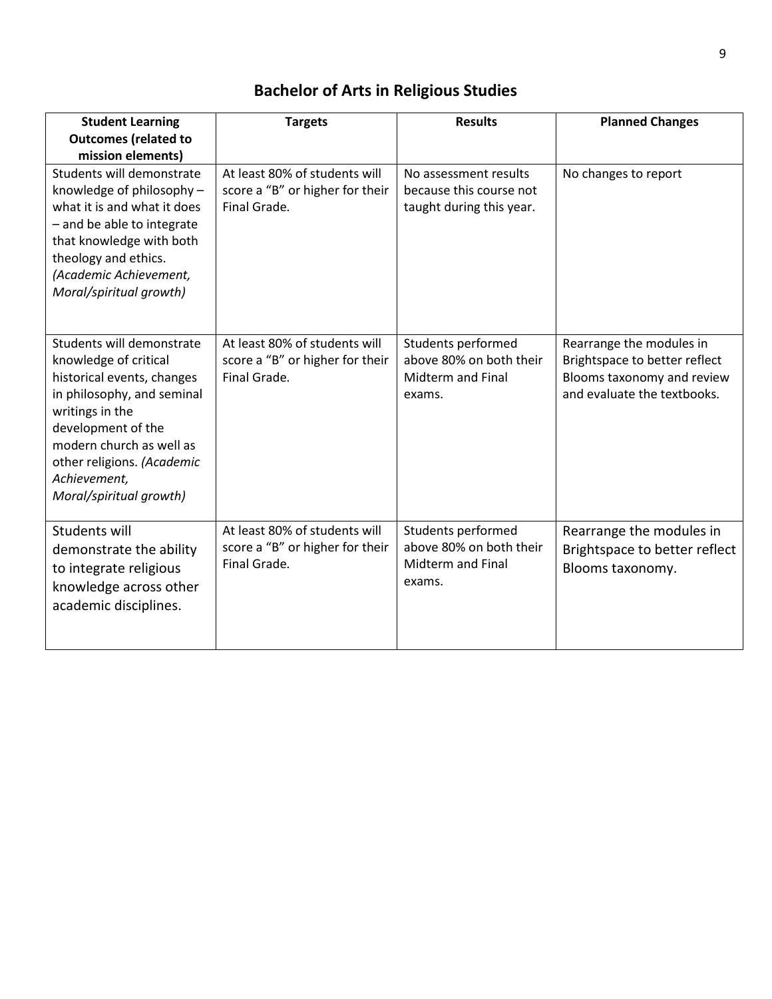# **Bachelor of Arts in Religious Studies**

| <b>Student Learning</b><br><b>Outcomes (related to</b>                                                                                                                                                                                                       | <b>Targets</b>                                                                   | <b>Results</b>                                                                      | <b>Planned Changes</b>                                                                                                 |
|--------------------------------------------------------------------------------------------------------------------------------------------------------------------------------------------------------------------------------------------------------------|----------------------------------------------------------------------------------|-------------------------------------------------------------------------------------|------------------------------------------------------------------------------------------------------------------------|
| mission elements)<br>Students will demonstrate<br>knowledge of philosophy -<br>what it is and what it does<br>- and be able to integrate<br>that knowledge with both<br>theology and ethics.<br>(Academic Achievement,<br>Moral/spiritual growth)            | At least 80% of students will<br>score a "B" or higher for their<br>Final Grade. | No assessment results<br>because this course not<br>taught during this year.        | No changes to report                                                                                                   |
| Students will demonstrate<br>knowledge of critical<br>historical events, changes<br>in philosophy, and seminal<br>writings in the<br>development of the<br>modern church as well as<br>other religions. (Academic<br>Achievement,<br>Moral/spiritual growth) | At least 80% of students will<br>score a "B" or higher for their<br>Final Grade. | Students performed<br>above 80% on both their<br><b>Midterm and Final</b><br>exams. | Rearrange the modules in<br>Brightspace to better reflect<br>Blooms taxonomy and review<br>and evaluate the textbooks. |
| Students will<br>demonstrate the ability<br>to integrate religious<br>knowledge across other<br>academic disciplines.                                                                                                                                        | At least 80% of students will<br>score a "B" or higher for their<br>Final Grade. | Students performed<br>above 80% on both their<br><b>Midterm and Final</b><br>exams. | Rearrange the modules in<br>Brightspace to better reflect<br>Blooms taxonomy.                                          |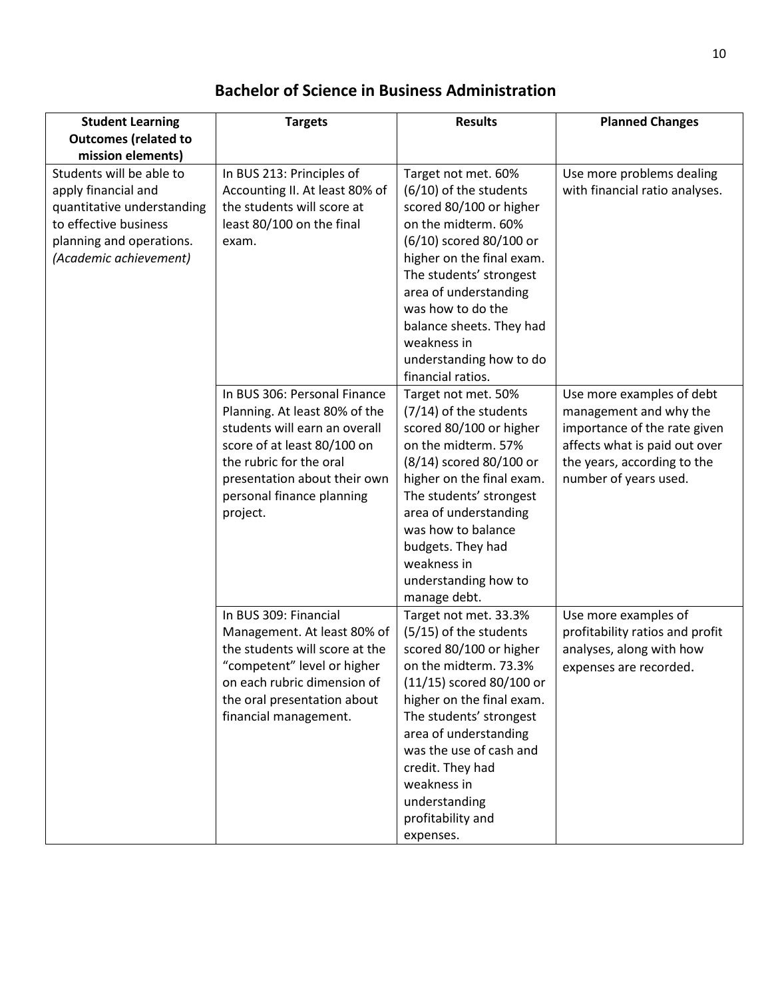### **Bachelor of Science in Business Administration**

| <b>Student Learning</b>                                                                                                                                      | <b>Targets</b>                                                                                                                                                                                                                    | <b>Results</b>                                                                                                                                                                                                                                                                                                                     | <b>Planned Changes</b>                                                                                                                                                       |
|--------------------------------------------------------------------------------------------------------------------------------------------------------------|-----------------------------------------------------------------------------------------------------------------------------------------------------------------------------------------------------------------------------------|------------------------------------------------------------------------------------------------------------------------------------------------------------------------------------------------------------------------------------------------------------------------------------------------------------------------------------|------------------------------------------------------------------------------------------------------------------------------------------------------------------------------|
| <b>Outcomes (related to</b>                                                                                                                                  |                                                                                                                                                                                                                                   |                                                                                                                                                                                                                                                                                                                                    |                                                                                                                                                                              |
| mission elements)                                                                                                                                            |                                                                                                                                                                                                                                   |                                                                                                                                                                                                                                                                                                                                    |                                                                                                                                                                              |
| Students will be able to<br>apply financial and<br>quantitative understanding<br>to effective business<br>planning and operations.<br>(Academic achievement) | In BUS 213: Principles of<br>Accounting II. At least 80% of<br>the students will score at<br>least 80/100 on the final<br>exam.                                                                                                   | Target not met. 60%<br>(6/10) of the students<br>scored 80/100 or higher<br>on the midterm. 60%<br>(6/10) scored 80/100 or<br>higher on the final exam.<br>The students' strongest<br>area of understanding<br>was how to do the<br>balance sheets. They had<br>weakness in<br>understanding how to do                             | Use more problems dealing<br>with financial ratio analyses.                                                                                                                  |
|                                                                                                                                                              | In BUS 306: Personal Finance<br>Planning. At least 80% of the<br>students will earn an overall<br>score of at least 80/100 on<br>the rubric for the oral<br>presentation about their own<br>personal finance planning<br>project. | financial ratios.<br>Target not met. 50%<br>(7/14) of the students<br>scored 80/100 or higher<br>on the midterm. 57%<br>(8/14) scored 80/100 or<br>higher on the final exam.<br>The students' strongest<br>area of understanding<br>was how to balance<br>budgets. They had<br>weakness in<br>understanding how to<br>manage debt. | Use more examples of debt<br>management and why the<br>importance of the rate given<br>affects what is paid out over<br>the years, according to the<br>number of years used. |
|                                                                                                                                                              | In BUS 309: Financial<br>Management. At least 80% of<br>the students will score at the<br>"competent" level or higher<br>on each rubric dimension of<br>the oral presentation about<br>financial management.                      | Target not met. 33.3%<br>(5/15) of the students<br>scored 80/100 or higher<br>on the midterm. 73.3%<br>(11/15) scored 80/100 or<br>higher on the final exam.<br>The students' strongest<br>area of understanding<br>was the use of cash and<br>credit. They had<br>weakness in<br>understanding<br>profitability and<br>expenses.  | Use more examples of<br>profitability ratios and profit<br>analyses, along with how<br>expenses are recorded.                                                                |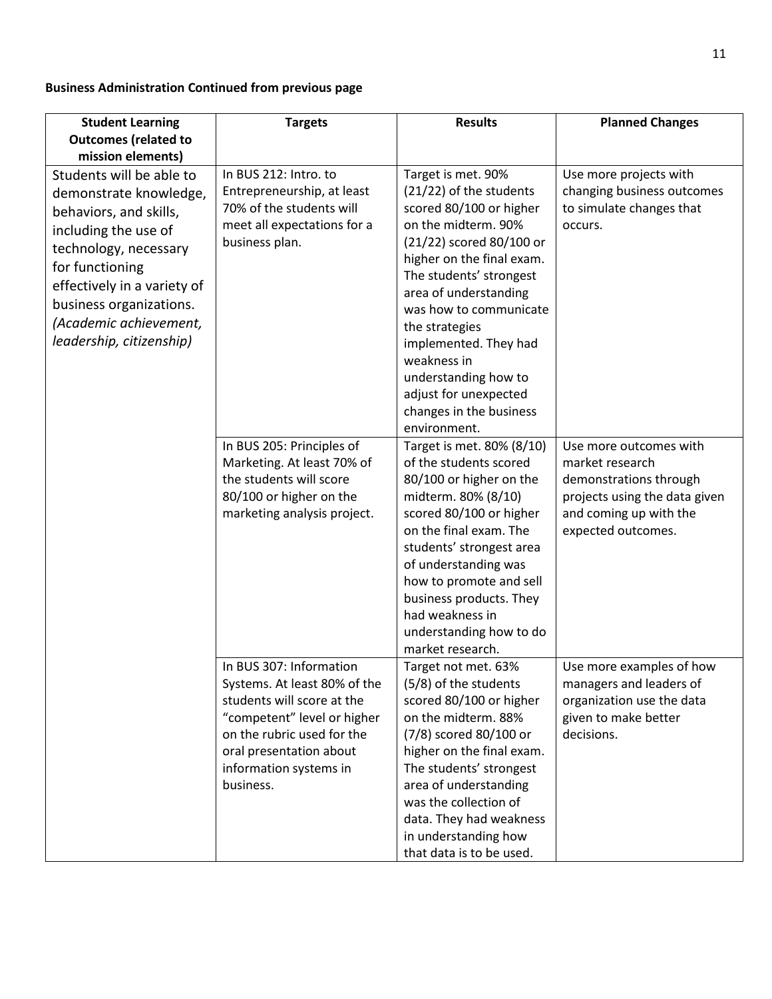#### **Business Administration Continued from previous page**

| <b>Student Learning</b>                                                                                                                                                                                                                                                               | <b>Targets</b>                                                                                                                                                                                                       | <b>Results</b>                                                                                                                                                                                                                                                                                                                                                                               | <b>Planned Changes</b>                                                                                                                               |
|---------------------------------------------------------------------------------------------------------------------------------------------------------------------------------------------------------------------------------------------------------------------------------------|----------------------------------------------------------------------------------------------------------------------------------------------------------------------------------------------------------------------|----------------------------------------------------------------------------------------------------------------------------------------------------------------------------------------------------------------------------------------------------------------------------------------------------------------------------------------------------------------------------------------------|------------------------------------------------------------------------------------------------------------------------------------------------------|
| <b>Outcomes (related to</b>                                                                                                                                                                                                                                                           |                                                                                                                                                                                                                      |                                                                                                                                                                                                                                                                                                                                                                                              |                                                                                                                                                      |
| mission elements)<br>Students will be able to<br>demonstrate knowledge,<br>behaviors, and skills,<br>including the use of<br>technology, necessary<br>for functioning<br>effectively in a variety of<br>business organizations.<br>(Academic achievement,<br>leadership, citizenship) | In BUS 212: Intro. to<br>Entrepreneurship, at least<br>70% of the students will<br>meet all expectations for a<br>business plan.                                                                                     | Target is met. 90%<br>(21/22) of the students<br>scored 80/100 or higher<br>on the midterm. 90%<br>(21/22) scored 80/100 or<br>higher on the final exam.<br>The students' strongest<br>area of understanding<br>was how to communicate<br>the strategies<br>implemented. They had<br>weakness in<br>understanding how to<br>adjust for unexpected<br>changes in the business<br>environment. | Use more projects with<br>changing business outcomes<br>to simulate changes that<br>occurs.                                                          |
|                                                                                                                                                                                                                                                                                       | In BUS 205: Principles of<br>Marketing. At least 70% of<br>the students will score<br>80/100 or higher on the<br>marketing analysis project.                                                                         | Target is met. 80% (8/10)<br>of the students scored<br>80/100 or higher on the<br>midterm. 80% (8/10)<br>scored 80/100 or higher<br>on the final exam. The<br>students' strongest area<br>of understanding was<br>how to promote and sell<br>business products. They<br>had weakness in<br>understanding how to do<br>market research.                                                       | Use more outcomes with<br>market research<br>demonstrations through<br>projects using the data given<br>and coming up with the<br>expected outcomes. |
|                                                                                                                                                                                                                                                                                       | In BUS 307: Information<br>Systems. At least 80% of the<br>students will score at the<br>"competent" level or higher<br>on the rubric used for the<br>oral presentation about<br>information systems in<br>business. | Target not met. 63%<br>(5/8) of the students<br>scored 80/100 or higher<br>on the midterm. 88%<br>(7/8) scored 80/100 or<br>higher on the final exam.<br>The students' strongest<br>area of understanding<br>was the collection of<br>data. They had weakness<br>in understanding how<br>that data is to be used.                                                                            | Use more examples of how<br>managers and leaders of<br>organization use the data<br>given to make better<br>decisions.                               |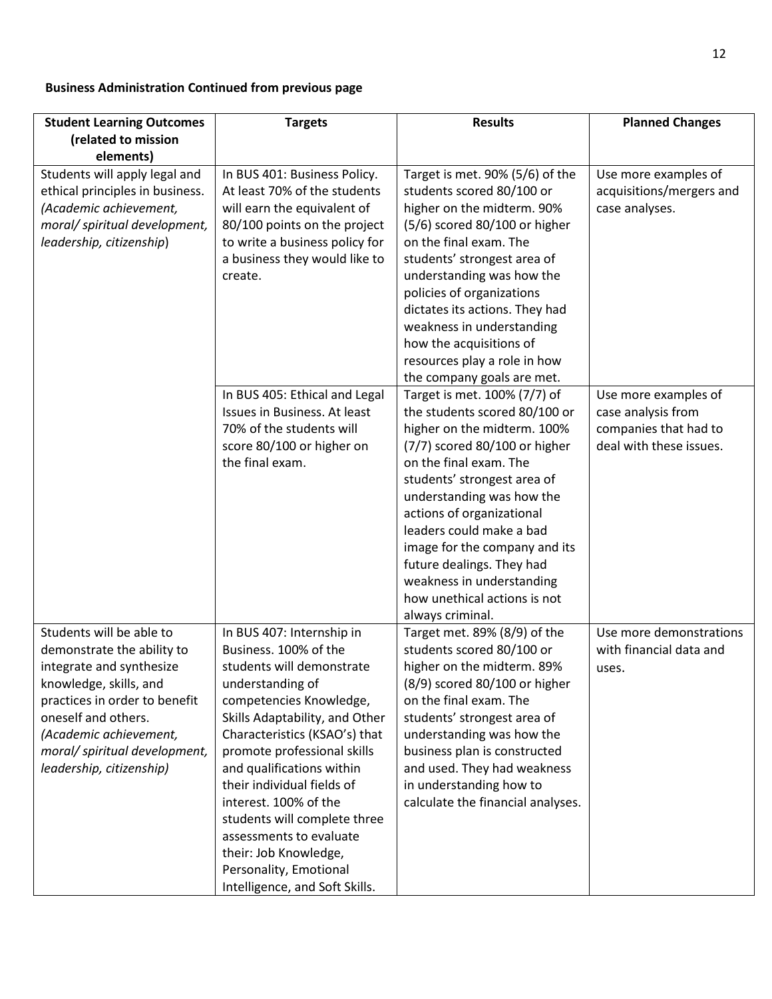#### **Business Administration Continued from previous page**

| <b>Student Learning Outcomes</b>                                                                                                                                                                                                                            | <b>Targets</b>                                                                                                                                                                                                                                                                                                                                                                                                                                                       | <b>Results</b>                                                                                                                                                                                                                                                                                                                                                                                                              | <b>Planned Changes</b>                                                                         |
|-------------------------------------------------------------------------------------------------------------------------------------------------------------------------------------------------------------------------------------------------------------|----------------------------------------------------------------------------------------------------------------------------------------------------------------------------------------------------------------------------------------------------------------------------------------------------------------------------------------------------------------------------------------------------------------------------------------------------------------------|-----------------------------------------------------------------------------------------------------------------------------------------------------------------------------------------------------------------------------------------------------------------------------------------------------------------------------------------------------------------------------------------------------------------------------|------------------------------------------------------------------------------------------------|
| (related to mission                                                                                                                                                                                                                                         |                                                                                                                                                                                                                                                                                                                                                                                                                                                                      |                                                                                                                                                                                                                                                                                                                                                                                                                             |                                                                                                |
| elements)<br>Students will apply legal and<br>ethical principles in business.<br>(Academic achievement,<br>moral/ spiritual development,<br>leadership, citizenship)                                                                                        | In BUS 401: Business Policy.<br>At least 70% of the students<br>will earn the equivalent of<br>80/100 points on the project<br>to write a business policy for<br>a business they would like to<br>create.                                                                                                                                                                                                                                                            | Target is met. 90% (5/6) of the<br>students scored 80/100 or<br>higher on the midterm. 90%<br>$(5/6)$ scored 80/100 or higher<br>on the final exam. The<br>students' strongest area of<br>understanding was how the<br>policies of organizations<br>dictates its actions. They had<br>weakness in understanding<br>how the acquisitions of<br>resources play a role in how<br>the company goals are met.                    | Use more examples of<br>acquisitions/mergers and<br>case analyses.                             |
|                                                                                                                                                                                                                                                             | In BUS 405: Ethical and Legal<br>Issues in Business. At least<br>70% of the students will<br>score 80/100 or higher on<br>the final exam.                                                                                                                                                                                                                                                                                                                            | Target is met. 100% (7/7) of<br>the students scored 80/100 or<br>higher on the midterm. 100%<br>(7/7) scored 80/100 or higher<br>on the final exam. The<br>students' strongest area of<br>understanding was how the<br>actions of organizational<br>leaders could make a bad<br>image for the company and its<br>future dealings. They had<br>weakness in understanding<br>how unethical actions is not<br>always criminal. | Use more examples of<br>case analysis from<br>companies that had to<br>deal with these issues. |
| Students will be able to<br>demonstrate the ability to<br>integrate and synthesize<br>knowledge, skills, and<br>practices in order to benefit<br>oneself and others.<br>(Academic achievement,<br>moral/ spiritual development,<br>leadership, citizenship) | In BUS 407: Internship in<br>Business, 100% of the<br>students will demonstrate<br>understanding of<br>competencies Knowledge,<br>Skills Adaptability, and Other<br>Characteristics (KSAO's) that<br>promote professional skills<br>and qualifications within<br>their individual fields of<br>interest. 100% of the<br>students will complete three<br>assessments to evaluate<br>their: Job Knowledge,<br>Personality, Emotional<br>Intelligence, and Soft Skills. | Target met. 89% (8/9) of the<br>students scored 80/100 or<br>higher on the midterm. 89%<br>$(8/9)$ scored 80/100 or higher<br>on the final exam. The<br>students' strongest area of<br>understanding was how the<br>business plan is constructed<br>and used. They had weakness<br>in understanding how to<br>calculate the financial analyses.                                                                             | Use more demonstrations<br>with financial data and<br>uses.                                    |